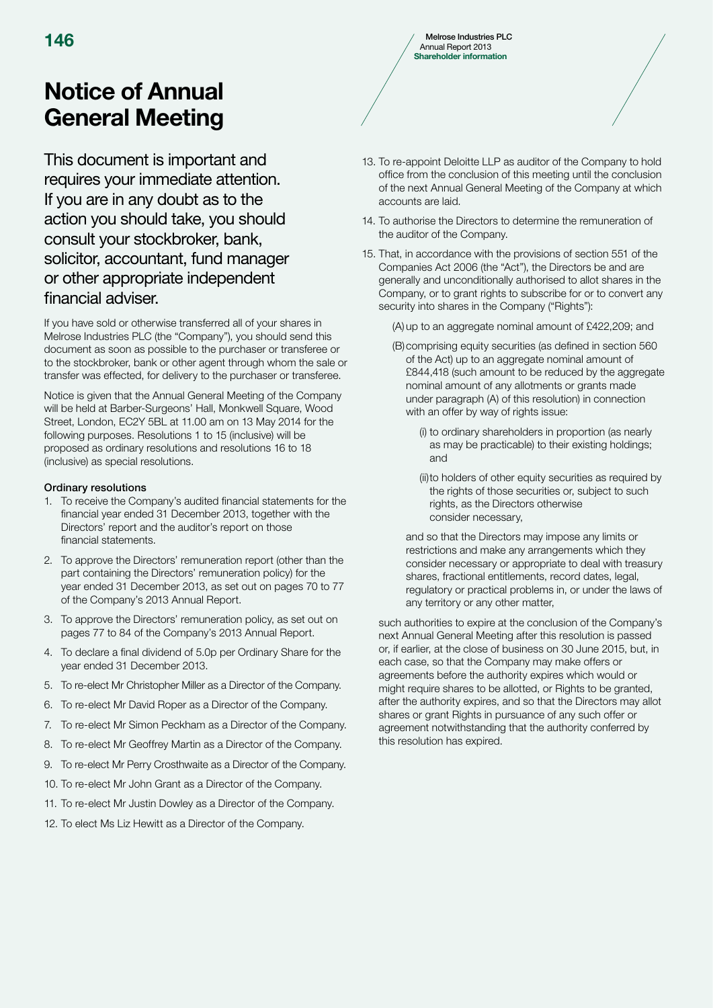# Notice of Annual General Meeting

This document is important and requires your immediate attention. If you are in any doubt as to the action you should take, you should consult your stockbroker, bank, solicitor, accountant, fund manager or other appropriate independent financial adviser.

If you have sold or otherwise transferred all of your shares in Melrose Industries PLC (the "Company"), you should send this document as soon as possible to the purchaser or transferee or to the stockbroker, bank or other agent through whom the sale or transfer was effected, for delivery to the purchaser or transferee.

Notice is given that the Annual General Meeting of the Company will be held at Barber-Surgeons' Hall, Monkwell Square, Wood Street, London, EC2Y 5BL at 11.00 am on 13 May 2014 for the following purposes. Resolutions 1 to 15 (inclusive) will be proposed as ordinary resolutions and resolutions 16 to 18 (inclusive) as special resolutions.

# Ordinary resolutions

- 1. To receive the Company's audited financial statements for the financial year ended 31 December 2013, together with the Directors' report and the auditor's report on those financial statements.
- 2. To approve the Directors' remuneration report (other than the part containing the Directors' remuneration policy) for the year ended 31 December 2013, as set out on pages 70 to 77 of the Company's 2013 Annual Report.
- 3. To approve the Directors' remuneration policy, as set out on pages 77 to 84 of the Company's 2013 Annual Report.
- 4. To declare a final dividend of 5.0p per Ordinary Share for the year ended 31 December 2013.
- 5. To re-elect Mr Christopher Miller as a Director of the Company.
- 6. To re-elect Mr David Roper as a Director of the Company.
- 7. To re-elect Mr Simon Peckham as a Director of the Company.
- 8. To re-elect Mr Geoffrey Martin as a Director of the Company.
- 9. To re-elect Mr Perry Crosthwaite as a Director of the Company.
- 10. To re-elect Mr John Grant as a Director of the Company.
- 11. To re-elect Mr Justin Dowley as a Director of the Company.
- 12. To elect Ms Liz Hewitt as a Director of the Company.
- 13. To re-appoint Deloitte LLP as auditor of the Company to hold office from the conclusion of this meeting until the conclusion
- 14. To authorise the Directors to determine the remuneration of the auditor of the Company.

accounts are laid.

Annual Report 2013 Shareholder information

of the next Annual General Meeting of the Company at which

15. That, in accordance with the provisions of section 551 of the Companies Act 2006 (the "Act"), the Directors be and are generally and unconditionally authorised to allot shares in the Company, or to grant rights to subscribe for or to convert any security into shares in the Company ("Rights"):

(A) up to an aggregate nominal amount of £422,209; and

- (B) comprising equity securities (as defined in section 560 of the Act) up to an aggregate nominal amount of £844,418 (such amount to be reduced by the aggregate nominal amount of any allotments or grants made under paragraph (A) of this resolution) in connection with an offer by way of rights issue:
	- (i) to ordinary shareholders in proportion (as nearly as may be practicable) to their existing holdings; and
	- (ii) to holders of other equity securities as required by the rights of those securities or, subject to such rights, as the Directors otherwise consider necessary,

 and so that the Directors may impose any limits or restrictions and make any arrangements which they consider necessary or appropriate to deal with treasury shares, fractional entitlements, record dates, legal, regulatory or practical problems in, or under the laws of any territory or any other matter,

 such authorities to expire at the conclusion of the Company's next Annual General Meeting after this resolution is passed or, if earlier, at the close of business on 30 June 2015, but, in each case, so that the Company may make offers or agreements before the authority expires which would or might require shares to be allotted, or Rights to be granted, after the authority expires, and so that the Directors may allot shares or grant Rights in pursuance of any such offer or agreement notwithstanding that the authority conferred by this resolution has expired.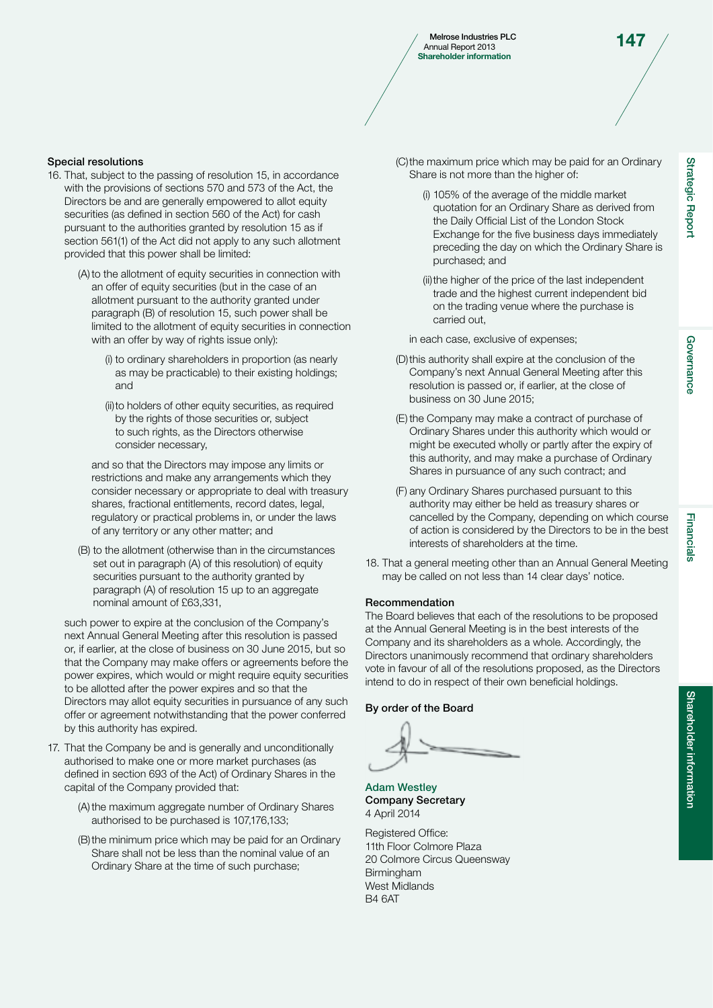Melrose Industries PLC<br>
Annual Report 2013 Shareholder information

#### Special resolutions

- 16. That, subject to the passing of resolution 15, in accordance with the provisions of sections 570 and 573 of the Act, the Directors be and are generally empowered to allot equity securities (as defined in section 560 of the Act) for cash pursuant to the authorities granted by resolution 15 as if section 561(1) of the Act did not apply to any such allotment provided that this power shall be limited:
	- (A) to the allotment of equity securities in connection with an offer of equity securities (but in the case of an allotment pursuant to the authority granted under paragraph (B) of resolution 15, such power shall be limited to the allotment of equity securities in connection with an offer by way of rights issue only):
		- (i) to ordinary shareholders in proportion (as nearly as may be practicable) to their existing holdings; and
		- (ii) to holders of other equity securities, as required by the rights of those securities or, subject to such rights, as the Directors otherwise consider necessary,

 and so that the Directors may impose any limits or restrictions and make any arrangements which they consider necessary or appropriate to deal with treasury shares, fractional entitlements, record dates, legal, regulatory or practical problems in, or under the laws of any territory or any other matter; and

 (B) to the allotment (otherwise than in the circumstances set out in paragraph (A) of this resolution) of equity securities pursuant to the authority granted by paragraph (A) of resolution 15 up to an aggregate nominal amount of £63,331,

 such power to expire at the conclusion of the Company's next Annual General Meeting after this resolution is passed or, if earlier, at the close of business on 30 June 2015, but so that the Company may make offers or agreements before the power expires, which would or might require equity securities to be allotted after the power expires and so that the Directors may allot equity securities in pursuance of any such offer or agreement notwithstanding that the power conferred by this authority has expired.

- 17. That the Company be and is generally and unconditionally authorised to make one or more market purchases (as defined in section 693 of the Act) of Ordinary Shares in the capital of the Company provided that:
	- (A) the maximum aggregate number of Ordinary Shares authorised to be purchased is 107,176,133;
	- (B) the minimum price which may be paid for an Ordinary Share shall not be less than the nominal value of an Ordinary Share at the time of such purchase;

 (C) the maximum price which may be paid for an Ordinary Share is not more than the higher of:

- (i) 105% of the average of the middle market quotation for an Ordinary Share as derived from the Daily Official List of the London Stock Exchange for the five business days immediately preceding the day on which the Ordinary Share is purchased; and
- (ii) the higher of the price of the last independent trade and the highest current independent bid on the trading venue where the purchase is carried out,

in each case, exclusive of expenses;

- (D) this authority shall expire at the conclusion of the Company's next Annual General Meeting after this resolution is passed or, if earlier, at the close of business on 30 June 2015;
- (E) the Company may make a contract of purchase of Ordinary Shares under this authority which would or might be executed wholly or partly after the expiry of this authority, and may make a purchase of Ordinary Shares in pursuance of any such contract; and
- (F) any Ordinary Shares purchased pursuant to this authority may either be held as treasury shares or cancelled by the Company, depending on which course of action is considered by the Directors to be in the best interests of shareholders at the time.
- 18. That a general meeting other than an Annual General Meeting may be called on not less than 14 clear days' notice.

#### Recommendation

The Board believes that each of the resolutions to be proposed at the Annual General Meeting is in the best interests of the Company and its shareholders as a whole. Accordingly, the Directors unanimously recommend that ordinary shareholders vote in favour of all of the resolutions proposed, as the Directors intend to do in respect of their own beneficial holdings.

#### By order of the Board

Adam Westley Company Secretary 4 April 2014

Registered Office: 11th Floor Colmore Plaza 20 Colmore Circus Queensway **Birmingham** West Midlands B4 6AT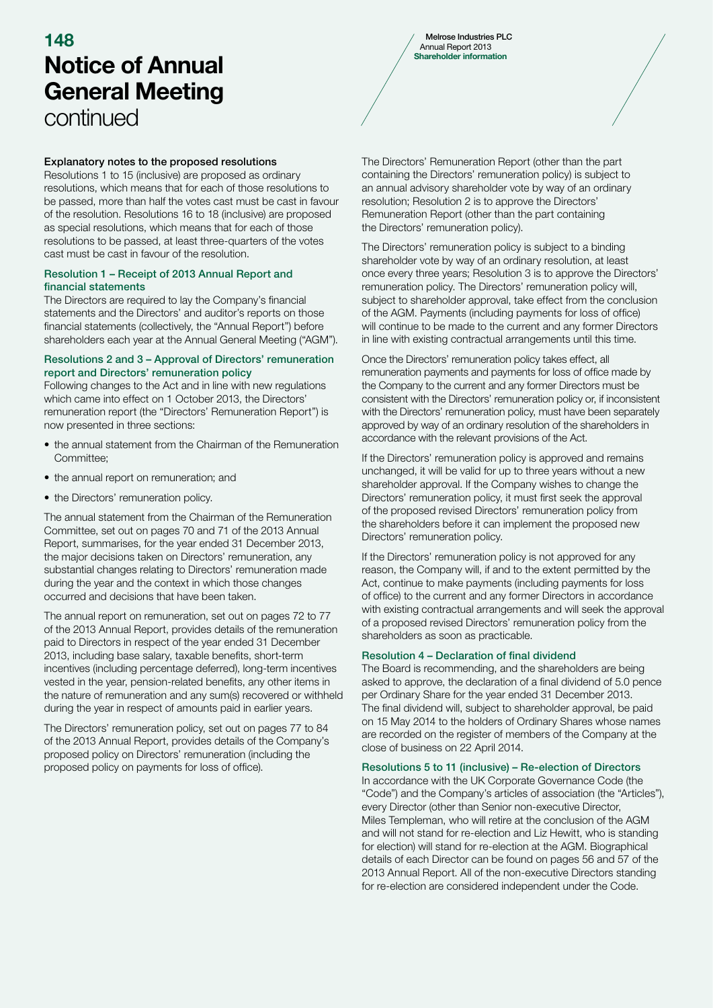# Notice of Annual General Meeting continued  $\sim$  148 Melrose Industries PLC

# Explanatory notes to the proposed resolutions

Resolutions 1 to 15 (inclusive) are proposed as ordinary resolutions, which means that for each of those resolutions to be passed, more than half the votes cast must be cast in favour of the resolution. Resolutions 16 to 18 (inclusive) are proposed as special resolutions, which means that for each of those resolutions to be passed, at least three-quarters of the votes cast must be cast in favour of the resolution.

#### Resolution 1 – Receipt of 2013 Annual Report and financial statements

The Directors are required to lay the Company's financial statements and the Directors' and auditor's reports on those financial statements (collectively, the "Annual Report") before shareholders each year at the Annual General Meeting ("AGM").

#### Resolutions 2 and 3 – Approval of Directors' remuneration report and Directors' remuneration policy

Following changes to the Act and in line with new regulations which came into effect on 1 October 2013, the Directors' remuneration report (the "Directors' Remuneration Report") is now presented in three sections:

- the annual statement from the Chairman of the Remuneration Committee;
- the annual report on remuneration; and
- the Directors' remuneration policy.

The annual statement from the Chairman of the Remuneration Committee, set out on pages 70 and 71 of the 2013 Annual Report, summarises, for the year ended 31 December 2013, the major decisions taken on Directors' remuneration, any substantial changes relating to Directors' remuneration made during the year and the context in which those changes occurred and decisions that have been taken.

The annual report on remuneration, set out on pages 72 to 77 of the 2013 Annual Report, provides details of the remuneration paid to Directors in respect of the year ended 31 December 2013, including base salary, taxable benefits, short-term incentives (including percentage deferred), long-term incentives vested in the year, pension-related benefits, any other items in the nature of remuneration and any sum(s) recovered or withheld during the year in respect of amounts paid in earlier years.

The Directors' remuneration policy, set out on pages 77 to 84 of the 2013 Annual Report, provides details of the Company's proposed policy on Directors' remuneration (including the proposed policy on payments for loss of office).

Annual Report 2013 Shareholder information

The Directors' Remuneration Report (other than the part containing the Directors' remuneration policy) is subject to an annual advisory shareholder vote by way of an ordinary resolution; Resolution 2 is to approve the Directors' Remuneration Report (other than the part containing the Directors' remuneration policy).

The Directors' remuneration policy is subject to a binding shareholder vote by way of an ordinary resolution, at least once every three years; Resolution 3 is to approve the Directors' remuneration policy. The Directors' remuneration policy will, subject to shareholder approval, take effect from the conclusion of the AGM. Payments (including payments for loss of office) will continue to be made to the current and any former Directors in line with existing contractual arrangements until this time.

Once the Directors' remuneration policy takes effect, all remuneration payments and payments for loss of office made by the Company to the current and any former Directors must be consistent with the Directors' remuneration policy or, if inconsistent with the Directors' remuneration policy, must have been separately approved by way of an ordinary resolution of the shareholders in accordance with the relevant provisions of the Act.

If the Directors' remuneration policy is approved and remains unchanged, it will be valid for up to three years without a new shareholder approval. If the Company wishes to change the Directors' remuneration policy, it must first seek the approval of the proposed revised Directors' remuneration policy from the shareholders before it can implement the proposed new Directors' remuneration policy.

If the Directors' remuneration policy is not approved for any reason, the Company will, if and to the extent permitted by the Act, continue to make payments (including payments for loss of office) to the current and any former Directors in accordance with existing contractual arrangements and will seek the approval of a proposed revised Directors' remuneration policy from the shareholders as soon as practicable.

## Resolution 4 – Declaration of final dividend

The Board is recommending, and the shareholders are being asked to approve, the declaration of a final dividend of 5.0 pence per Ordinary Share for the year ended 31 December 2013. The final dividend will, subject to shareholder approval, be paid on 15 May 2014 to the holders of Ordinary Shares whose names are recorded on the register of members of the Company at the close of business on 22 April 2014.

## Resolutions 5 to 11 (inclusive) – Re-election of Directors

In accordance with the UK Corporate Governance Code (the "Code") and the Company's articles of association (the "Articles"), every Director (other than Senior non-executive Director, Miles Templeman, who will retire at the conclusion of the AGM and will not stand for re-election and Liz Hewitt, who is standing for election) will stand for re-election at the AGM. Biographical details of each Director can be found on pages 56 and 57 of the 2013 Annual Report. All of the non-executive Directors standing for re-election are considered independent under the Code.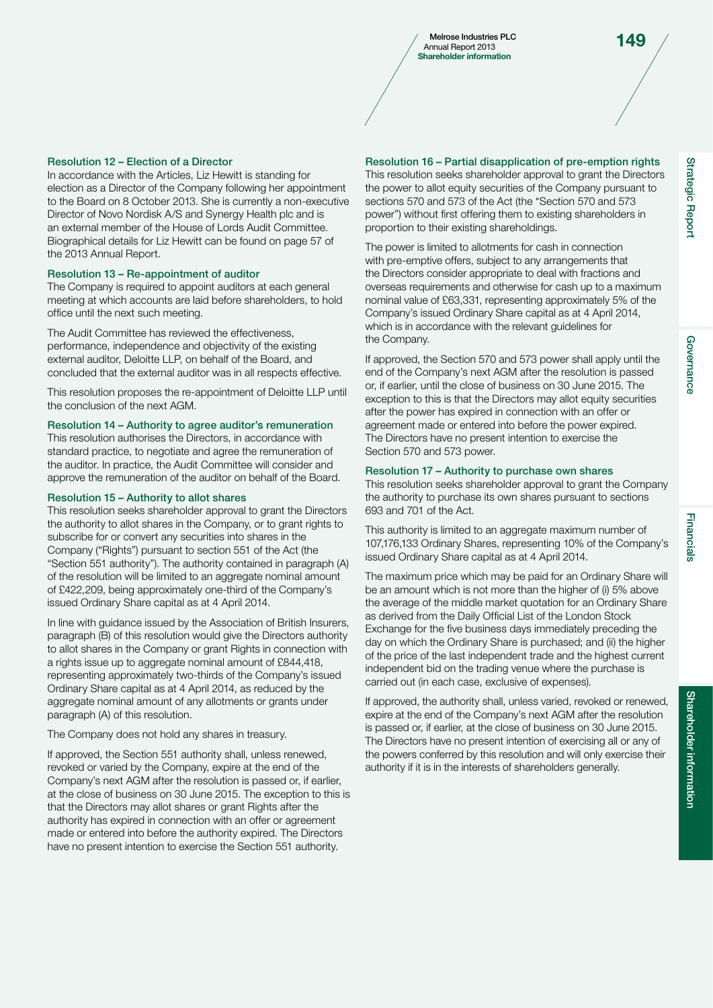Melrose Industries PLC<br>
Annual Report 2013 Shareholder information

Strategic Report

**Strategic Report** 

Governance

Governance

#### Resolution 12 – Election of a Director

In accordance with the Articles, Liz Hewitt is standing for election as a Director of the Company following her appointment to the Board on 8 October 2013. She is currently a non-executive Director of Novo Nordisk A/S and Synergy Health plc and is an external member of the House of Lords Audit Committee. Biographical details for Liz Hewitt can be found on page 57 of the 2013 Annual Report.

#### Resolution 13 – Re-appointment of auditor

The Company is required to appoint auditors at each general meeting at which accounts are laid before shareholders, to hold office until the next such meeting.

The Audit Committee has reviewed the effectiveness, performance, independence and objectivity of the existing external auditor, Deloitte LLP, on behalf of the Board, and concluded that the external auditor was in all respects effective.

This resolution proposes the re-appointment of Deloitte LLP until the conclusion of the next AGM.

#### Resolution 14 – Authority to agree auditor's remuneration

This resolution authorises the Directors, in accordance with standard practice, to negotiate and agree the remuneration of the auditor. In practice, the Audit Committee will consider and approve the remuneration of the auditor on behalf of the Board.

#### Resolution 15 – Authority to allot shares

This resolution seeks shareholder approval to grant the Directors the authority to allot shares in the Company, or to grant rights to subscribe for or convert any securities into shares in the Company ("Rights") pursuant to section 551 of the Act (the "Section 551 authority"). The authority contained in paragraph (A) of the resolution will be limited to an aggregate nominal amount of £422,209, being approximately one-third of the Company's issued Ordinary Share capital as at 4 April 2014.

In line with guidance issued by the Association of British Insurers, paragraph (B) of this resolution would give the Directors authority to allot shares in the Company or grant Rights in connection with a rights issue up to aggregate nominal amount of £844,418, representing approximately two-thirds of the Company's issued Ordinary Share capital as at 4 April 2014, as reduced by the aggregate nominal amount of any allotments or grants under paragraph (A) of this resolution.

The Company does not hold any shares in treasury.

If approved, the Section 551 authority shall, unless renewed, revoked or varied by the Company, expire at the end of the Company's next AGM after the resolution is passed or, if earlier, at the close of business on 30 June 2015. The exception to this is that the Directors may allot shares or grant Rights after the authority has expired in connection with an offer or agreement made or entered into before the authority expired. The Directors have no present intention to exercise the Section 551 authority.

Resolution 16 – Partial disapplication of pre-emption rights This resolution seeks shareholder approval to grant the Directors the power to allot equity securities of the Company pursuant to sections 570 and 573 of the Act (the "Section 570 and 573 power") without first offering them to existing shareholders in proportion to their existing shareholdings.

The power is limited to allotments for cash in connection with pre-emptive offers, subject to any arrangements that the Directors consider appropriate to deal with fractions and overseas requirements and otherwise for cash up to a maximum nominal value of £63,331, representing approximately 5% of the Company's issued Ordinary Share capital as at 4 April 2014, which is in accordance with the relevant guidelines for the Company.

If approved, the Section 570 and 573 power shall apply until the end of the Company's next AGM after the resolution is passed or, if earlier, until the close of business on 30 June 2015. The exception to this is that the Directors may allot equity securities after the power has expired in connection with an offer or agreement made or entered into before the power expired. The Directors have no present intention to exercise the Section 570 and 573 power.

#### Resolution 17 – Authority to purchase own shares

This resolution seeks shareholder approval to grant the Company the authority to purchase its own shares pursuant to sections 693 and 701 of the Act.

This authority is limited to an aggregate maximum number of 107,176,133 Ordinary Shares, representing 10% of the Company's issued Ordinary Share capital as at 4 April 2014.

The maximum price which may be paid for an Ordinary Share will be an amount which is not more than the higher of (i) 5% above the average of the middle market quotation for an Ordinary Share as derived from the Daily Official List of the London Stock Exchange for the five business days immediately preceding the day on which the Ordinary Share is purchased; and (ii) the higher of the price of the last independent trade and the highest current independent bid on the trading venue where the purchase is carried out (in each case, exclusive of expenses).

If approved, the authority shall, unless varied, revoked or renewed, expire at the end of the Company's next AGM after the resolution is passed or, if earlier, at the close of business on 30 June 2015. The Directors have no present intention of exercising all or any of the powers conferred by this resolution and will only exercise their authority if it is in the interests of shareholders generally.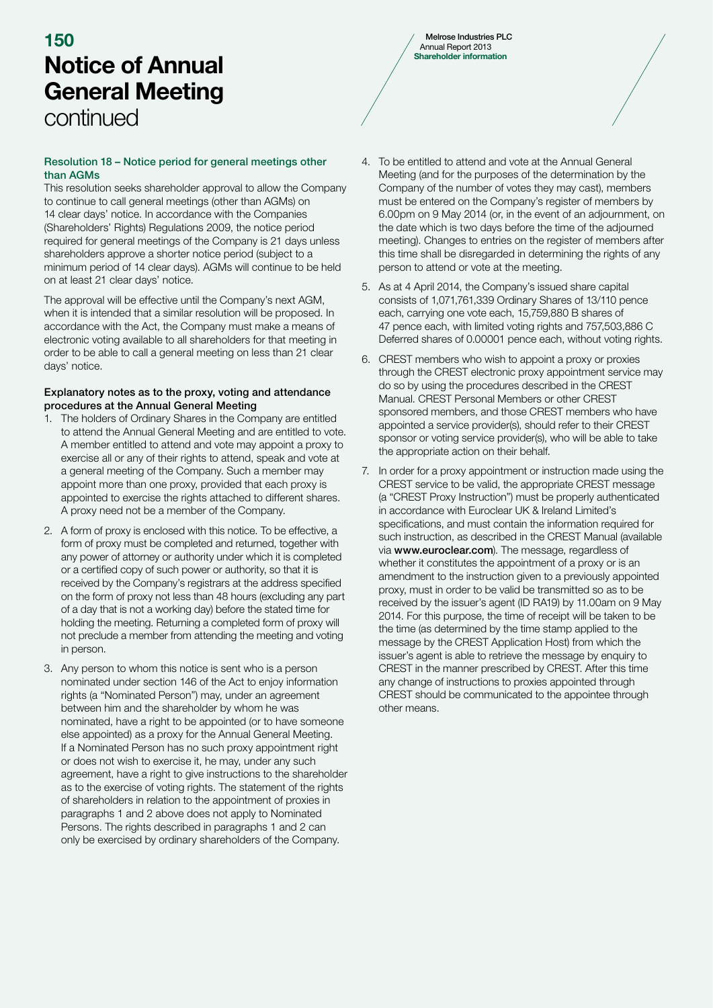# Notice of Annual General Meeting continued  $\sim$  150 Melrose Industries PLC

# Resolution 18 – Notice period for general meetings other than AGMs

This resolution seeks shareholder approval to allow the Company to continue to call general meetings (other than AGMs) on 14 clear days' notice. In accordance with the Companies (Shareholders' Rights) Regulations 2009, the notice period required for general meetings of the Company is 21 days unless shareholders approve a shorter notice period (subject to a minimum period of 14 clear days). AGMs will continue to be held on at least 21 clear days' notice.

The approval will be effective until the Company's next AGM, when it is intended that a similar resolution will be proposed. In accordance with the Act, the Company must make a means of electronic voting available to all shareholders for that meeting in order to be able to call a general meeting on less than 21 clear days' notice.

# Explanatory notes as to the proxy, voting and attendance procedures at the Annual General Meeting

- 1. The holders of Ordinary Shares in the Company are entitled to attend the Annual General Meeting and are entitled to vote. A member entitled to attend and vote may appoint a proxy to exercise all or any of their rights to attend, speak and vote at a general meeting of the Company. Such a member may appoint more than one proxy, provided that each proxy is appointed to exercise the rights attached to different shares. A proxy need not be a member of the Company.
- 2. A form of proxy is enclosed with this notice. To be effective, a form of proxy must be completed and returned, together with any power of attorney or authority under which it is completed or a certified copy of such power or authority, so that it is received by the Company's registrars at the address specified on the form of proxy not less than 48 hours (excluding any part of a day that is not a working day) before the stated time for holding the meeting. Returning a completed form of proxy will not preclude a member from attending the meeting and voting in person.
- 3. Any person to whom this notice is sent who is a person nominated under section 146 of the Act to enjoy information rights (a "Nominated Person") may, under an agreement between him and the shareholder by whom he was nominated, have a right to be appointed (or to have someone else appointed) as a proxy for the Annual General Meeting. If a Nominated Person has no such proxy appointment right or does not wish to exercise it, he may, under any such agreement, have a right to give instructions to the shareholder as to the exercise of voting rights. The statement of the rights of shareholders in relation to the appointment of proxies in paragraphs 1 and 2 above does not apply to Nominated Persons. The rights described in paragraphs 1 and 2 can only be exercised by ordinary shareholders of the Company.

4. To be entitled to attend and vote at the Annual General Meeting (and for the purposes of the determination by the Company of the number of votes they may cast), members must be entered on the Company's register of members by 6.00pm on 9 May 2014 (or, in the event of an adjournment, on the date which is two days before the time of the adjourned meeting). Changes to entries on the register of members after this time shall be disregarded in determining the rights of any person to attend or vote at the meeting.

- 5. As at 4 April 2014, the Company's issued share capital consists of 1,071,761,339 Ordinary Shares of 13/110 pence each, carrying one vote each, 15,759,880 B shares of 47 pence each, with limited voting rights and 757,503,886 C Deferred shares of 0.00001 pence each, without voting rights.
- 6. CREST members who wish to appoint a proxy or proxies through the CREST electronic proxy appointment service may do so by using the procedures described in the CREST Manual. CREST Personal Members or other CREST sponsored members, and those CREST members who have appointed a service provider(s), should refer to their CREST sponsor or voting service provider(s), who will be able to take the appropriate action on their behalf.
- 7. In order for a proxy appointment or instruction made using the CREST service to be valid, the appropriate CREST message (a "CREST Proxy Instruction") must be properly authenticated in accordance with Euroclear UK & Ireland Limited's specifications, and must contain the information required for such instruction, as described in the CREST Manual (available via www.euroclear.com). The message, regardless of whether it constitutes the appointment of a proxy or is an amendment to the instruction given to a previously appointed proxy, must in order to be valid be transmitted so as to be received by the issuer's agent (ID RA19) by 11.00am on 9 May 2014. For this purpose, the time of receipt will be taken to be the time (as determined by the time stamp applied to the message by the CREST Application Host) from which the issuer's agent is able to retrieve the message by enquiry to CREST in the manner prescribed by CREST. After this time any change of instructions to proxies appointed through CREST should be communicated to the appointee through other means.